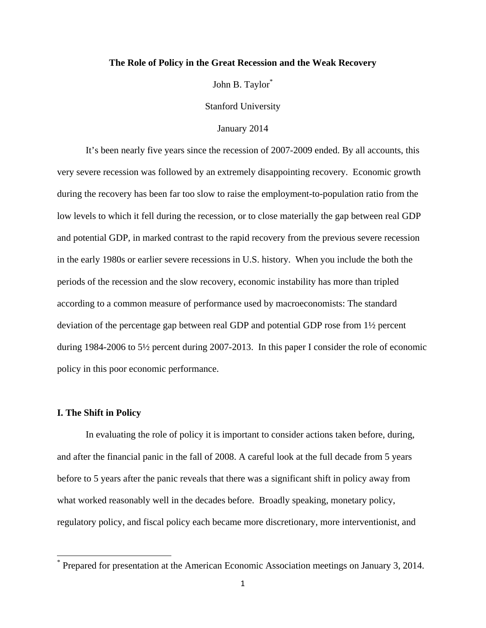# **The Role of Policy in the Great Recession and the Weak Recovery**

John B. Taylor<sup>\*</sup>

Stanford University

### January 2014

It's been nearly five years since the recession of 2007-2009 ended. By all accounts, this very severe recession was followed by an extremely disappointing recovery. Economic growth during the recovery has been far too slow to raise the employment-to-population ratio from the low levels to which it fell during the recession, or to close materially the gap between real GDP and potential GDP, in marked contrast to the rapid recovery from the previous severe recession in the early 1980s or earlier severe recessions in U.S. history. When you include the both the periods of the recession and the slow recovery, economic instability has more than tripled according to a common measure of performance used by macroeconomists: The standard deviation of the percentage gap between real GDP and potential GDP rose from 1½ percent during 1984-2006 to 5½ percent during 2007-2013. In this paper I consider the role of economic policy in this poor economic performance.

#### **I. The Shift in Policy**

In evaluating the role of policy it is important to consider actions taken before, during, and after the financial panic in the fall of 2008. A careful look at the full decade from 5 years before to 5 years after the panic reveals that there was a significant shift in policy away from what worked reasonably well in the decades before. Broadly speaking, monetary policy, regulatory policy, and fiscal policy each became more discretionary, more interventionist, and

<sup>\*</sup> Prepared for presentation at the American Economic Association meetings on January 3, 2014.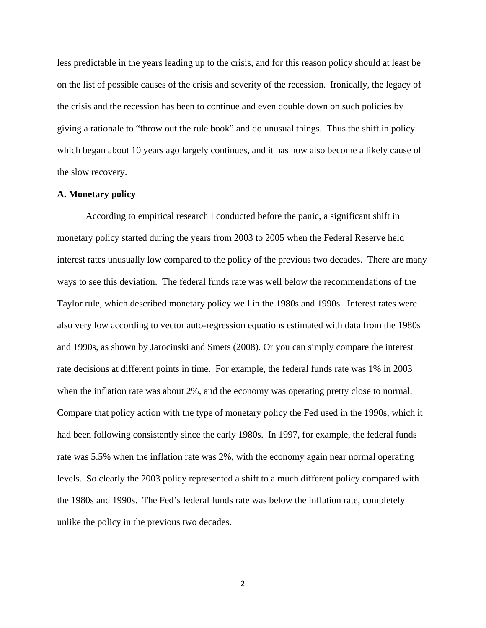less predictable in the years leading up to the crisis, and for this reason policy should at least be on the list of possible causes of the crisis and severity of the recession. Ironically, the legacy of the crisis and the recession has been to continue and even double down on such policies by giving a rationale to "throw out the rule book" and do unusual things. Thus the shift in policy which began about 10 years ago largely continues, and it has now also become a likely cause of the slow recovery.

#### **A. Monetary policy**

According to empirical research I conducted before the panic, a significant shift in monetary policy started during the years from 2003 to 2005 when the Federal Reserve held interest rates unusually low compared to the policy of the previous two decades. There are many ways to see this deviation. The federal funds rate was well below the recommendations of the Taylor rule, which described monetary policy well in the 1980s and 1990s. Interest rates were also very low according to vector auto-regression equations estimated with data from the 1980s and 1990s, as shown by Jarocinski and Smets (2008). Or you can simply compare the interest rate decisions at different points in time. For example, the federal funds rate was 1% in 2003 when the inflation rate was about 2%, and the economy was operating pretty close to normal. Compare that policy action with the type of monetary policy the Fed used in the 1990s, which it had been following consistently since the early 1980s. In 1997, for example, the federal funds rate was 5.5% when the inflation rate was 2%, with the economy again near normal operating levels. So clearly the 2003 policy represented a shift to a much different policy compared with the 1980s and 1990s. The Fed's federal funds rate was below the inflation rate, completely unlike the policy in the previous two decades.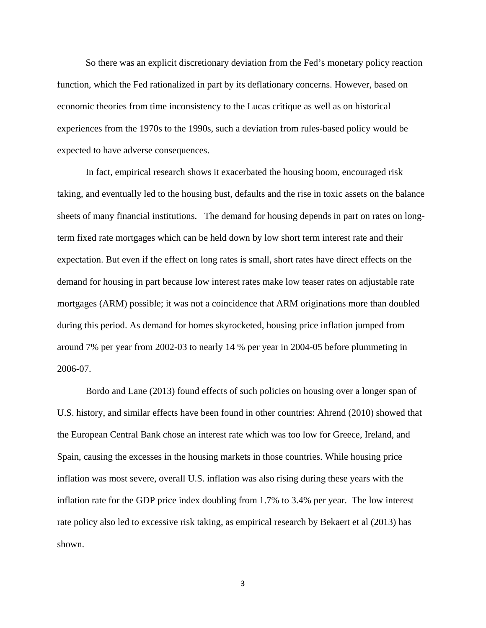So there was an explicit discretionary deviation from the Fed's monetary policy reaction function, which the Fed rationalized in part by its deflationary concerns. However, based on economic theories from time inconsistency to the Lucas critique as well as on historical experiences from the 1970s to the 1990s, such a deviation from rules-based policy would be expected to have adverse consequences.

In fact, empirical research shows it exacerbated the housing boom, encouraged risk taking, and eventually led to the housing bust, defaults and the rise in toxic assets on the balance sheets of many financial institutions. The demand for housing depends in part on rates on longterm fixed rate mortgages which can be held down by low short term interest rate and their expectation. But even if the effect on long rates is small, short rates have direct effects on the demand for housing in part because low interest rates make low teaser rates on adjustable rate mortgages (ARM) possible; it was not a coincidence that ARM originations more than doubled during this period. As demand for homes skyrocketed, housing price inflation jumped from around 7% per year from 2002-03 to nearly 14 % per year in 2004-05 before plummeting in 2006-07.

Bordo and Lane (2013) found effects of such policies on housing over a longer span of U.S. history, and similar effects have been found in other countries: Ahrend (2010) showed that the European Central Bank chose an interest rate which was too low for Greece, Ireland, and Spain, causing the excesses in the housing markets in those countries. While housing price inflation was most severe, overall U.S. inflation was also rising during these years with the inflation rate for the GDP price index doubling from 1.7% to 3.4% per year. The low interest rate policy also led to excessive risk taking, as empirical research by Bekaert et al (2013) has shown.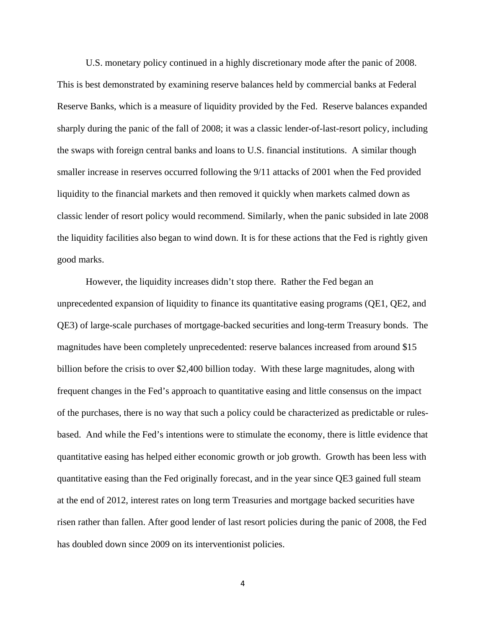U.S. monetary policy continued in a highly discretionary mode after the panic of 2008. This is best demonstrated by examining reserve balances held by commercial banks at Federal Reserve Banks, which is a measure of liquidity provided by the Fed. Reserve balances expanded sharply during the panic of the fall of 2008; it was a classic lender-of-last-resort policy, including the swaps with foreign central banks and loans to U.S. financial institutions. A similar though smaller increase in reserves occurred following the 9/11 attacks of 2001 when the Fed provided liquidity to the financial markets and then removed it quickly when markets calmed down as classic lender of resort policy would recommend. Similarly, when the panic subsided in late 2008 the liquidity facilities also began to wind down. It is for these actions that the Fed is rightly given good marks.

However, the liquidity increases didn't stop there. Rather the Fed began an unprecedented expansion of liquidity to finance its quantitative easing programs (QE1, QE2, and QE3) of large-scale purchases of mortgage-backed securities and long-term Treasury bonds. The magnitudes have been completely unprecedented: reserve balances increased from around \$15 billion before the crisis to over \$2,400 billion today. With these large magnitudes, along with frequent changes in the Fed's approach to quantitative easing and little consensus on the impact of the purchases, there is no way that such a policy could be characterized as predictable or rulesbased. And while the Fed's intentions were to stimulate the economy, there is little evidence that quantitative easing has helped either economic growth or job growth. Growth has been less with quantitative easing than the Fed originally forecast, and in the year since QE3 gained full steam at the end of 2012, interest rates on long term Treasuries and mortgage backed securities have risen rather than fallen. After good lender of last resort policies during the panic of 2008, the Fed has doubled down since 2009 on its interventionist policies.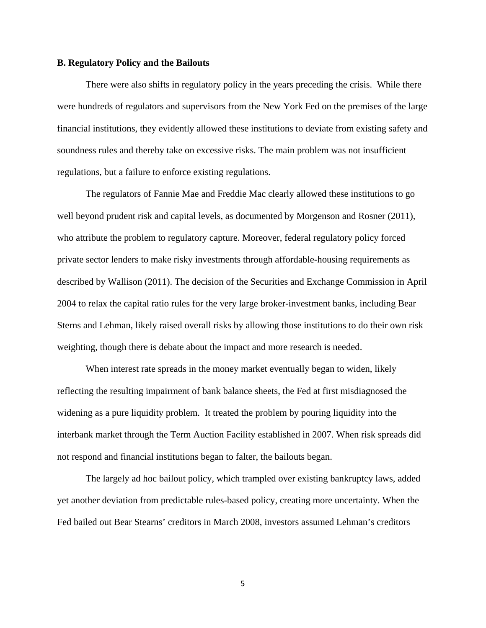### **B. Regulatory Policy and the Bailouts**

There were also shifts in regulatory policy in the years preceding the crisis. While there were hundreds of regulators and supervisors from the New York Fed on the premises of the large financial institutions, they evidently allowed these institutions to deviate from existing safety and soundness rules and thereby take on excessive risks. The main problem was not insufficient regulations, but a failure to enforce existing regulations.

The regulators of Fannie Mae and Freddie Mac clearly allowed these institutions to go well beyond prudent risk and capital levels, as documented by Morgenson and Rosner (2011), who attribute the problem to regulatory capture. Moreover, federal regulatory policy forced private sector lenders to make risky investments through affordable-housing requirements as described by Wallison (2011). The decision of the Securities and Exchange Commission in April 2004 to relax the capital ratio rules for the very large broker-investment banks, including Bear Sterns and Lehman, likely raised overall risks by allowing those institutions to do their own risk weighting, though there is debate about the impact and more research is needed.

When interest rate spreads in the money market eventually began to widen, likely reflecting the resulting impairment of bank balance sheets, the Fed at first misdiagnosed the widening as a pure liquidity problem. It treated the problem by pouring liquidity into the interbank market through the Term Auction Facility established in 2007. When risk spreads did not respond and financial institutions began to falter, the bailouts began.

The largely ad hoc bailout policy, which trampled over existing bankruptcy laws, added yet another deviation from predictable rules-based policy, creating more uncertainty. When the Fed bailed out Bear Stearns' creditors in March 2008, investors assumed Lehman's creditors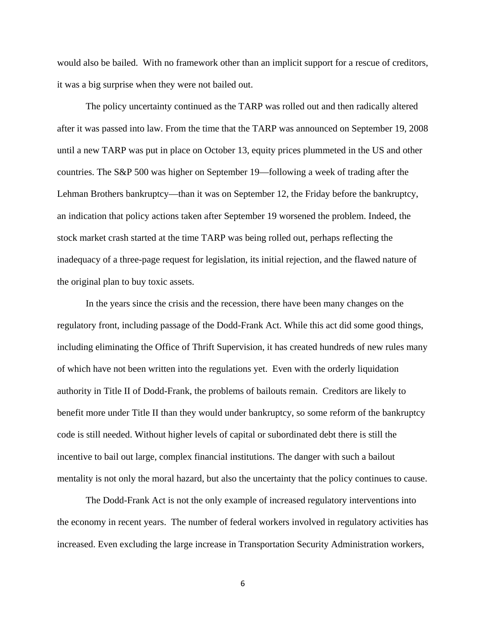would also be bailed. With no framework other than an implicit support for a rescue of creditors, it was a big surprise when they were not bailed out.

The policy uncertainty continued as the TARP was rolled out and then radically altered after it was passed into law. From the time that the TARP was announced on September 19, 2008 until a new TARP was put in place on October 13, equity prices plummeted in the US and other countries. The S&P 500 was higher on September 19—following a week of trading after the Lehman Brothers bankruptcy—than it was on September 12, the Friday before the bankruptcy, an indication that policy actions taken after September 19 worsened the problem. Indeed, the stock market crash started at the time TARP was being rolled out, perhaps reflecting the inadequacy of a three-page request for legislation, its initial rejection, and the flawed nature of the original plan to buy toxic assets.

In the years since the crisis and the recession, there have been many changes on the regulatory front, including passage of the Dodd-Frank Act. While this act did some good things, including eliminating the Office of Thrift Supervision, it has created hundreds of new rules many of which have not been written into the regulations yet. Even with the orderly liquidation authority in Title II of Dodd-Frank, the problems of bailouts remain. Creditors are likely to benefit more under Title II than they would under bankruptcy, so some reform of the bankruptcy code is still needed. Without higher levels of capital or subordinated debt there is still the incentive to bail out large, complex financial institutions. The danger with such a bailout mentality is not only the moral hazard, but also the uncertainty that the policy continues to cause.

The Dodd-Frank Act is not the only example of increased regulatory interventions into the economy in recent years. The number of federal workers involved in regulatory activities has increased. Even excluding the large increase in Transportation Security Administration workers,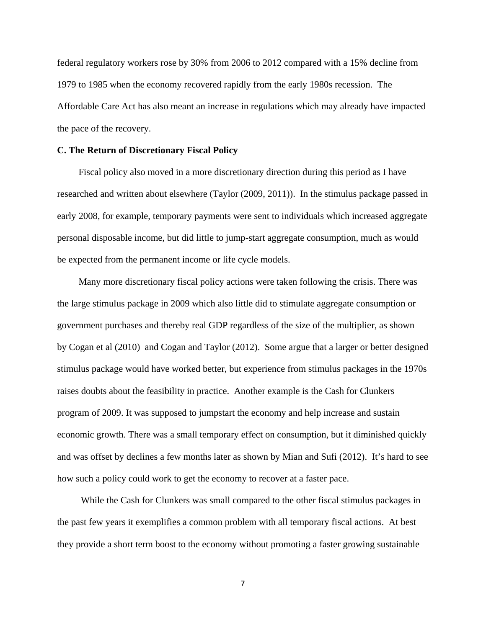federal regulatory workers rose by 30% from 2006 to 2012 compared with a 15% decline from 1979 to 1985 when the economy recovered rapidly from the early 1980s recession. The Affordable Care Act has also meant an increase in regulations which may already have impacted the pace of the recovery.

#### **C. The Return of Discretionary Fiscal Policy**

Fiscal policy also moved in a more discretionary direction during this period as I have researched and written about elsewhere (Taylor (2009, 2011)). In the stimulus package passed in early 2008, for example, temporary payments were sent to individuals which increased aggregate personal disposable income, but did little to jump-start aggregate consumption, much as would be expected from the permanent income or life cycle models.

Many more discretionary fiscal policy actions were taken following the crisis. There was the large stimulus package in 2009 which also little did to stimulate aggregate consumption or government purchases and thereby real GDP regardless of the size of the multiplier, as shown by Cogan et al (2010) and Cogan and Taylor (2012). Some argue that a larger or better designed stimulus package would have worked better, but experience from stimulus packages in the 1970s raises doubts about the feasibility in practice. Another example is the Cash for Clunkers program of 2009. It was supposed to jumpstart the economy and help increase and sustain economic growth. There was a small temporary effect on consumption, but it diminished quickly and was offset by declines a few months later as shown by Mian and Sufi (2012). It's hard to see how such a policy could work to get the economy to recover at a faster pace.

 While the Cash for Clunkers was small compared to the other fiscal stimulus packages in the past few years it exemplifies a common problem with all temporary fiscal actions. At best they provide a short term boost to the economy without promoting a faster growing sustainable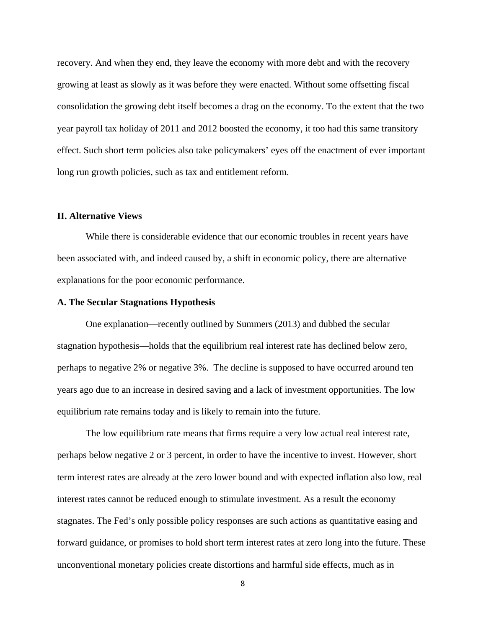recovery. And when they end, they leave the economy with more debt and with the recovery growing at least as slowly as it was before they were enacted. Without some offsetting fiscal consolidation the growing debt itself becomes a drag on the economy. To the extent that the two year payroll tax holiday of 2011 and 2012 boosted the economy, it too had this same transitory effect. Such short term policies also take policymakers' eyes off the enactment of ever important long run growth policies, such as tax and entitlement reform.

## **II. Alternative Views**

While there is considerable evidence that our economic troubles in recent years have been associated with, and indeed caused by, a shift in economic policy, there are alternative explanations for the poor economic performance.

# **A. The Secular Stagnations Hypothesis**

One explanation—recently outlined by Summers (2013) and dubbed the secular stagnation hypothesis—holds that the equilibrium real interest rate has declined below zero, perhaps to negative 2% or negative 3%. The decline is supposed to have occurred around ten years ago due to an increase in desired saving and a lack of investment opportunities. The low equilibrium rate remains today and is likely to remain into the future.

The low equilibrium rate means that firms require a very low actual real interest rate, perhaps below negative 2 or 3 percent, in order to have the incentive to invest. However, short term interest rates are already at the zero lower bound and with expected inflation also low, real interest rates cannot be reduced enough to stimulate investment. As a result the economy stagnates. The Fed's only possible policy responses are such actions as quantitative easing and forward guidance, or promises to hold short term interest rates at zero long into the future. These unconventional monetary policies create distortions and harmful side effects, much as in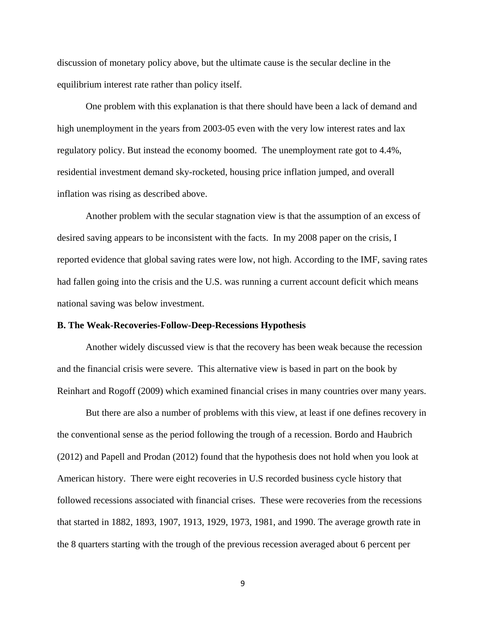discussion of monetary policy above, but the ultimate cause is the secular decline in the equilibrium interest rate rather than policy itself.

One problem with this explanation is that there should have been a lack of demand and high unemployment in the years from 2003-05 even with the very low interest rates and lax regulatory policy. But instead the economy boomed. The unemployment rate got to 4.4%, residential investment demand sky-rocketed, housing price inflation jumped, and overall inflation was rising as described above.

Another problem with the secular stagnation view is that the assumption of an excess of desired saving appears to be inconsistent with the facts. In my 2008 paper on the crisis, I reported evidence that global saving rates were low, not high. According to the IMF, saving rates had fallen going into the crisis and the U.S. was running a current account deficit which means national saving was below investment.

#### **B. The Weak-Recoveries-Follow-Deep-Recessions Hypothesis**

Another widely discussed view is that the recovery has been weak because the recession and the financial crisis were severe. This alternative view is based in part on the book by Reinhart and Rogoff (2009) which examined financial crises in many countries over many years.

But there are also a number of problems with this view, at least if one defines recovery in the conventional sense as the period following the trough of a recession. Bordo and Haubrich (2012) and Papell and Prodan (2012) found that the hypothesis does not hold when you look at American history. There were eight recoveries in U.S recorded business cycle history that followed recessions associated with financial crises. These were recoveries from the recessions that started in 1882, 1893, 1907, 1913, 1929, 1973, 1981, and 1990. The average growth rate in the 8 quarters starting with the trough of the previous recession averaged about 6 percent per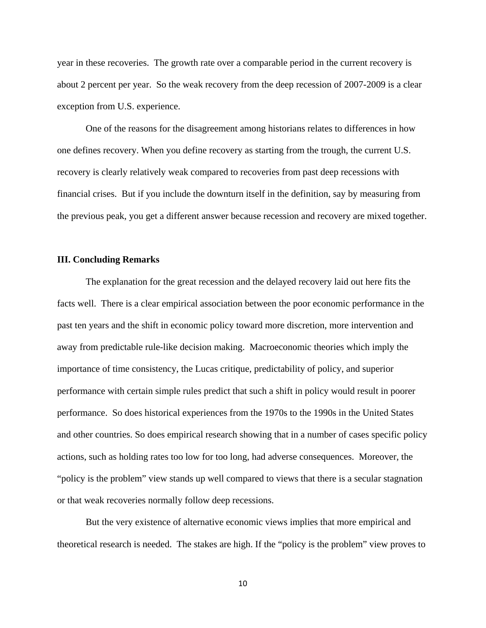year in these recoveries. The growth rate over a comparable period in the current recovery is about 2 percent per year. So the weak recovery from the deep recession of 2007-2009 is a clear exception from U.S. experience.

One of the reasons for the disagreement among historians relates to differences in how one defines recovery. When you define recovery as starting from the trough, the current U.S. recovery is clearly relatively weak compared to recoveries from past deep recessions with financial crises. But if you include the downturn itself in the definition, say by measuring from the previous peak, you get a different answer because recession and recovery are mixed together.

#### **III. Concluding Remarks**

The explanation for the great recession and the delayed recovery laid out here fits the facts well. There is a clear empirical association between the poor economic performance in the past ten years and the shift in economic policy toward more discretion, more intervention and away from predictable rule-like decision making. Macroeconomic theories which imply the importance of time consistency, the Lucas critique, predictability of policy, and superior performance with certain simple rules predict that such a shift in policy would result in poorer performance. So does historical experiences from the 1970s to the 1990s in the United States and other countries. So does empirical research showing that in a number of cases specific policy actions, such as holding rates too low for too long, had adverse consequences. Moreover, the "policy is the problem" view stands up well compared to views that there is a secular stagnation or that weak recoveries normally follow deep recessions.

But the very existence of alternative economic views implies that more empirical and theoretical research is needed. The stakes are high. If the "policy is the problem" view proves to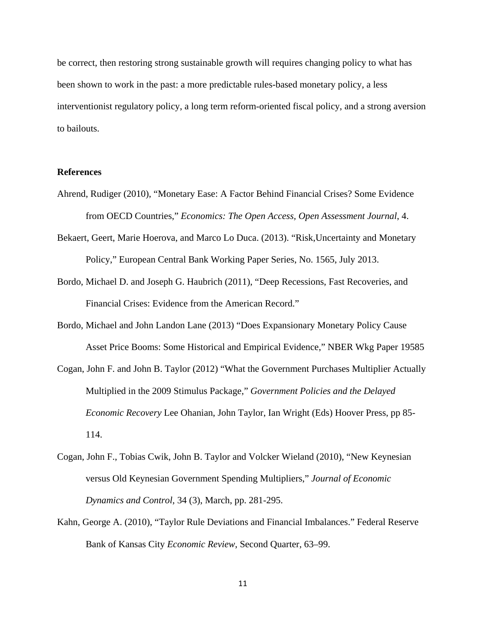be correct, then restoring strong sustainable growth will requires changing policy to what has been shown to work in the past: a more predictable rules-based monetary policy, a less interventionist regulatory policy, a long term reform-oriented fiscal policy, and a strong aversion to bailouts.

# **References**

- Ahrend, Rudiger (2010), "Monetary Ease: A Factor Behind Financial Crises? Some Evidence from OECD Countries," *Economics: The Open Access, Open Assessment Journal*, 4.
- Bekaert, Geert, Marie Hoerova, and Marco Lo Duca. (2013). "Risk,Uncertainty and Monetary Policy," European Central Bank Working Paper Series, No. 1565, July 2013.
- Bordo, Michael D. and Joseph G. Haubrich (2011), "Deep Recessions, Fast Recoveries, and Financial Crises: Evidence from the American Record."
- Bordo, Michael and John Landon Lane (2013) "Does Expansionary Monetary Policy Cause Asset Price Booms: Some Historical and Empirical Evidence," NBER Wkg Paper 19585
- Cogan, John F. and John B. Taylor (2012) "What the Government Purchases Multiplier Actually Multiplied in the 2009 Stimulus Package," *Government Policies and the Delayed Economic Recovery* Lee Ohanian, John Taylor, Ian Wright (Eds) Hoover Press, pp 85- 114.
- Cogan, John F., Tobias Cwik, John B. Taylor and Volcker Wieland (2010), "New Keynesian versus Old Keynesian Government Spending Multipliers," *Journal of Economic Dynamics and Control*, 34 (3), March, pp. 281-295.
- Kahn, George A. (2010), "Taylor Rule Deviations and Financial Imbalances." Federal Reserve Bank of Kansas City *Economic Review*, Second Quarter, 63–99.